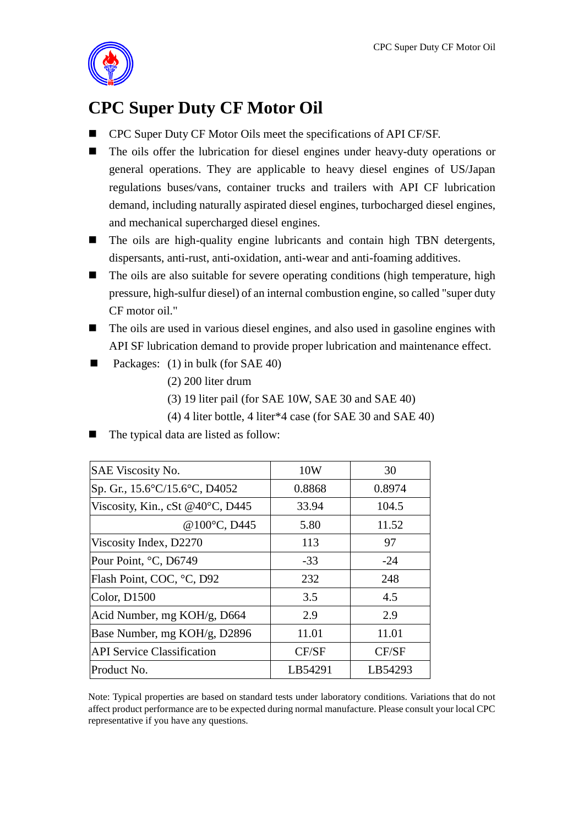

## **CPC Super Duty CF Motor Oil**

- CPC Super Duty CF Motor Oils meet the specifications of API CF/SF.
- The oils offer the lubrication for diesel engines under heavy-duty operations or general operations. They are applicable to heavy diesel engines of US/Japan regulations buses/vans, container trucks and trailers with API CF lubrication demand, including naturally aspirated diesel engines, turbocharged diesel engines, and mechanical supercharged diesel engines.
- The oils are high-quality engine lubricants and contain high TBN detergents, dispersants, anti-rust, anti-oxidation, anti-wear and anti-foaming additives.
- The oils are also suitable for severe operating conditions (high temperature, high pressure, high-sulfur diesel) of an internal combustion engine, so called "super duty CF motor oil."
- The oils are used in various diesel engines, and also used in gasoline engines with API SF lubrication demand to provide proper lubrication and maintenance effect.
- Packages: (1) in bulk (for SAE 40)
	- (2) 200 liter drum
	- (3) 19 liter pail (for SAE 10W, SAE 30 and SAE 40)
	- (4) 4 liter bottle, 4 liter\*4 case (for SAE 30 and SAE 40)
- The typical data are listed as follow:

| <b>SAE Viscosity No.</b>          | 10W     | 30      |
|-----------------------------------|---------|---------|
| Sp. Gr., 15.6°C/15.6°C, D4052     | 0.8868  | 0.8974  |
| Viscosity, Kin., cSt @40°C, D445  | 33.94   | 104.5   |
| @100°C, D445                      | 5.80    | 11.52   |
| Viscosity Index, D2270            | 113     | 97      |
| Pour Point, °C, D6749             | $-33$   | $-24$   |
| Flash Point, COC, °C, D92         | 232     | 248     |
| Color, D1500                      | 3.5     | 4.5     |
| Acid Number, mg KOH/g, D664       | 2.9     | 2.9     |
| Base Number, mg KOH/g, D2896      | 11.01   | 11.01   |
| <b>API Service Classification</b> | CF/SF   | CF/SF   |
| Product No.                       | LB54291 | LB54293 |

Note: Typical properties are based on standard tests under laboratory conditions. Variations that do not affect product performance are to be expected during normal manufacture. Please consult your local CPC representative if you have any questions.